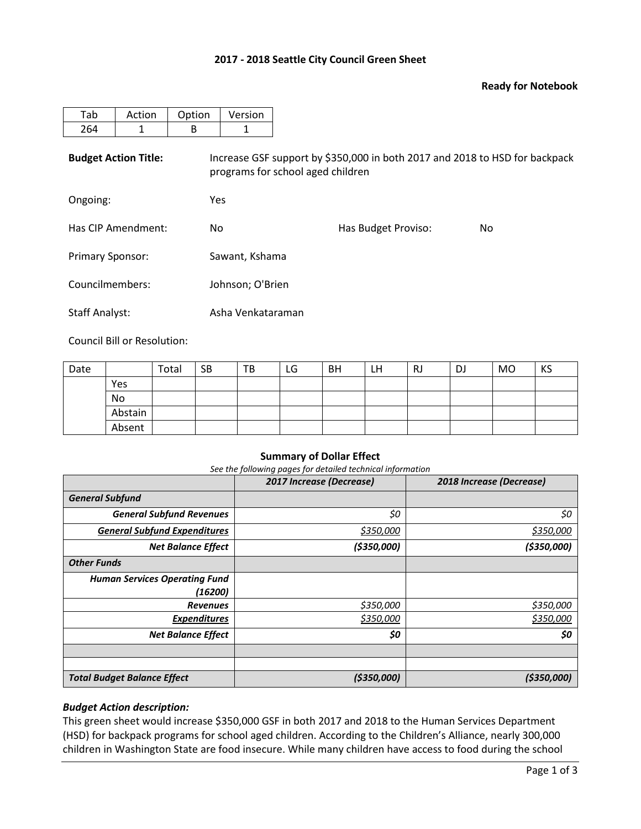## **2017 - 2018 Seattle City Council Green Sheet**

## **Ready for Notebook**

| -ab | Action | Option | Version |
|-----|--------|--------|---------|
|     |        |        |         |

**Budget Action Title:** Increase GSF support by \$350,000 in both 2017 and 2018 to HSD for backpack programs for school aged children

Ongoing: Yes

| Has CIP Amendment:      | Nο               | Has Budget Proviso: | No. |
|-------------------------|------------------|---------------------|-----|
| <b>Primary Sponsor:</b> | Sawant, Kshama   |                     |     |
| Councilmembers:         | Johnson; O'Brien |                     |     |

Staff Analyst: Asha Venkataraman

Council Bill or Resolution:

| Date |         | Total | <b>SB</b> | TB | LG | <b>BH</b> | LH | RJ | DJ | <b>MO</b> | KS |
|------|---------|-------|-----------|----|----|-----------|----|----|----|-----------|----|
|      | Yes     |       |           |    |    |           |    |    |    |           |    |
|      | No      |       |           |    |    |           |    |    |    |           |    |
|      | Abstain |       |           |    |    |           |    |    |    |           |    |
|      | Absent  |       |           |    |    |           |    |    |    |           |    |

#### **Summary of Dollar Effect**

*See the following pages for detailed technical information*

|                                      | 2017 Increase (Decrease) | 2018 Increase (Decrease) |
|--------------------------------------|--------------------------|--------------------------|
| <b>General Subfund</b>               |                          |                          |
| <b>General Subfund Revenues</b>      | \$0                      | \$0                      |
| <b>General Subfund Expenditures</b>  | \$350,000                | \$350,000                |
| <b>Net Balance Effect</b>            | ( \$350,000]             | ( \$350,000]             |
| <b>Other Funds</b>                   |                          |                          |
| <b>Human Services Operating Fund</b> |                          |                          |
| (16200)                              |                          |                          |
| <b>Revenues</b>                      | \$350,000                | \$350,000                |
| <b>Expenditures</b>                  | \$350,000                | \$350,000                |
| <b>Net Balance Effect</b>            | \$0                      | \$0                      |
|                                      |                          |                          |
|                                      |                          |                          |
| <b>Total Budget Balance Effect</b>   | ( \$350,000]             | (\$350,000)              |

## *Budget Action description:*

This green sheet would increase \$350,000 GSF in both 2017 and 2018 to the Human Services Department (HSD) for backpack programs for school aged children. According to the Children's Alliance, nearly 300,000 children in Washington State are food insecure. While many children have access to food during the school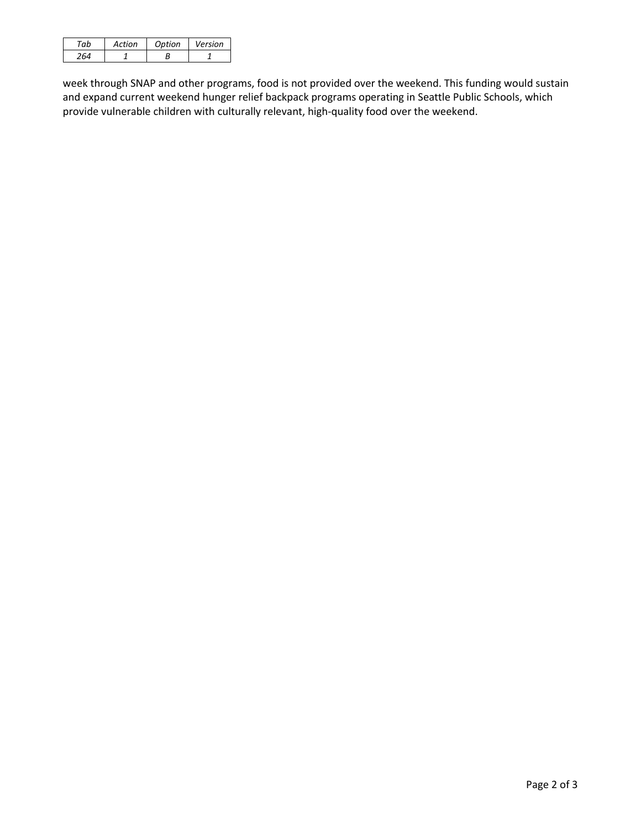| ⊤ัำh | Action | Option | Version |
|------|--------|--------|---------|
|      |        |        |         |

week through SNAP and other programs, food is not provided over the weekend. This funding would sustain and expand current weekend hunger relief backpack programs operating in Seattle Public Schools, which provide vulnerable children with culturally relevant, high-quality food over the weekend.